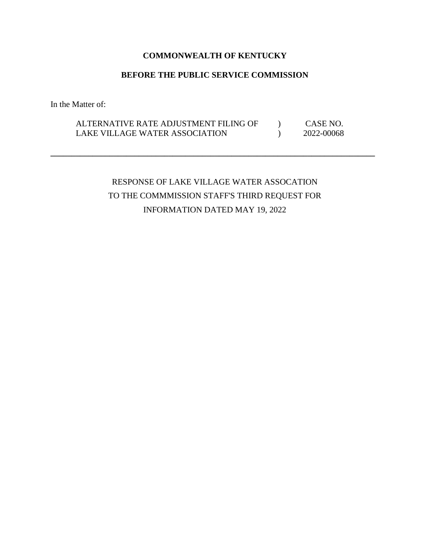## **COMMONWEALTH OF KENTUCKY**

### **BEFORE THE PUBLIC SERVICE COMMISSION**

In the Matter of:

## ALTERNATIVE RATE ADJUSTMENT FILING OF  $\qquad$  ) CASE NO. LAKE VILLAGE WATER ASSOCIATION (2022-00068)

**\_\_\_\_\_\_\_\_\_\_\_\_\_\_\_\_\_\_\_\_\_\_\_\_\_\_\_\_\_\_\_\_\_\_\_\_\_\_\_\_\_\_\_\_\_\_\_\_\_\_\_\_\_\_\_\_\_\_\_\_\_\_\_\_\_\_\_\_\_\_\_\_\_\_\_\_\_** 

# RESPONSE OF LAKE VILLAGE WATER ASSOCATION TO THE COMMMISSION STAFF'S THIRD REQUEST FOR INFORMATION DATED MAY 19, 2022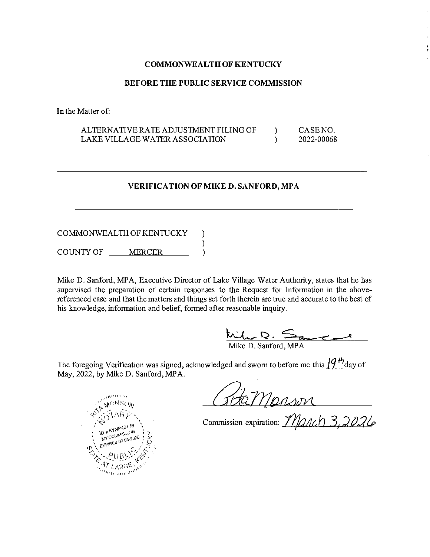#### **COMMONWEALTH OF KENTUCKY**

#### **BEFORE THE PUBLIC SERVICE COMMISSION**

In the Matter of:

ALTERNATIVE RATE ADJUSTMENT FILING OF CASENO.  $\mathcal{E}$ LAKE VILLAGE WATER ASSOCIATION 2022-00068  $\mathcal{E}$ 

#### **VERIFICATION OF MIKE D. SANFORD, MPA**

COMMONWEALTH OF KENTUCKY )  $\mathcal{E}$ COUNTY OF MERCER  $\mathcal{L}$ 

Mike D. Sanford, MPA, Executive Director of Lake Village Water Authority, states that he has supervised the preparation of certain responses to the Request for Information in the abovereferenced case and that the matters and things set forth therein are true and accurate to the best of his knowledge, information and belief, formed after reasonable inquiry.

Mike D. Sanford, MPA

The foregoing Verification was signed, acknowledged and sworn to before me this  $\int_{0}^{\infty} \int_{0}^{H}$  day of May, 2022, by Mike D. Sanford, MPA.

GOGMONSON<br>Commission expiration: March 3,2026

<sup>NSO</sup>A **ID #KYNP46176** MY COMMISSION EXPIRES 03-03-2026 aommun'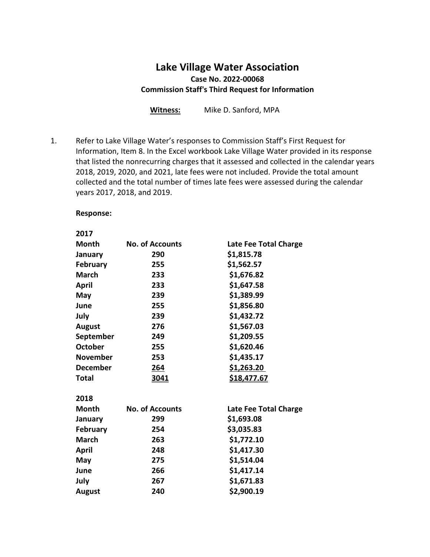## **Lake Village Water Association Case No. 2022-00068 Commission Staff's Third Request for Information**

**Witness:** Mike D. Sanford, MPA

1. Refer to Lake Village Water's responses to Commission Staff's First Request for Information, Item 8. In the Excel workbook Lake Village Water provided in its response that listed the nonrecurring charges that it assessed and collected in the calendar years 2018, 2019, 2020, and 2021, late fees were not included. Provide the total amount collected and the total number of times late fees were assessed during the calendar years 2017, 2018, and 2019.

#### **Response:**

#### **2017**

| <b>Month</b>    | <b>No. of Accounts</b> | Late Fee Total Charge |
|-----------------|------------------------|-----------------------|
| January         | 290                    | \$1,815.78            |
| <b>February</b> | 255                    | \$1,562.57            |
| <b>March</b>    | 233                    | \$1,676.82            |
| <b>April</b>    | 233                    | \$1,647.58            |
| May             | 239                    | \$1,389.99            |
| June            | 255                    | \$1,856.80            |
| July            | 239                    | \$1,432.72            |
| August          | 276                    | \$1,567.03            |
| September       | 249                    | \$1,209.55            |
| <b>October</b>  | 255                    | \$1,620.46            |
| <b>November</b> | 253                    | \$1,435.17            |
| <b>December</b> | <u>264</u>             | \$1,263.20            |
| <b>Total</b>    | 3041                   | <u>\$18,477.67</u>    |
| 2018            |                        |                       |
| <b>Month</b>    | <b>No. of Accounts</b> | Late Fee Total Charge |
| January         | 299                    | \$1,693.08            |
| <b>February</b> | 254                    | \$3,035.83            |
| <b>March</b>    | 263                    | \$1,772.10            |
| April           | 248                    | \$1,417.30            |
| May             | 275                    | \$1,514.04            |
| June            | 266                    | \$1,417.14            |
| July            | 267                    | \$1,671.83            |
| August          | 240                    | \$2,900.19            |